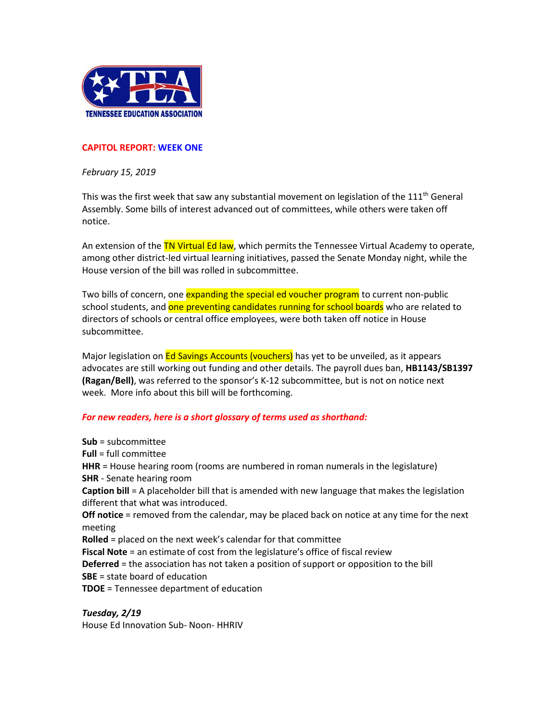

## **CAPITOL REPORT: WEEK ONE**

*February 15, 2019*

This was the first week that saw any substantial movement on legislation of the 111<sup>th</sup> General Assembly. Some bills of interest advanced out of committees, while others were taken off notice.

An extension of the TN Virtual Ed law, which permits the Tennessee Virtual Academy to operate, among other district-led virtual learning initiatives, passed the Senate Monday night, while the House version of the bill was rolled in subcommittee.

Two bills of concern, one expanding the special ed voucher program to current non-public school students, and one preventing candidates running for school boards who are related to directors of schools or central office employees, were both taken off notice in House subcommittee.

Major legislation on Ed Savings Accounts (vouchers) has yet to be unveiled, as it appears advocates are still working out funding and other details. The payroll dues ban, **HB1143/SB1397 (Ragan/Bell)**, was referred to the sponsor's K-12 subcommittee, but is not on notice next week. More info about this bill will be forthcoming.

## *For new readers, here is a short glossary of terms used as shorthand:*

**Sub** = subcommittee **Full** = full committee **HHR** = House hearing room (rooms are numbered in roman numerals in the legislature) **SHR** - Senate hearing room **Caption bill** = A placeholder bill that is amended with new language that makes the legislation different that what was introduced. **Off notice** = removed from the calendar, may be placed back on notice at any time for the next meeting **Rolled** = placed on the next week's calendar for that committee **Fiscal Note** = an estimate of cost from the legislature's office of fiscal review **Deferred** = the association has not taken a position of support or opposition to the bill **SBE** = state board of education **TDOE** = Tennessee department of education

## *Tuesday, 2/19*

House Ed Innovation Sub- Noon- HHRIV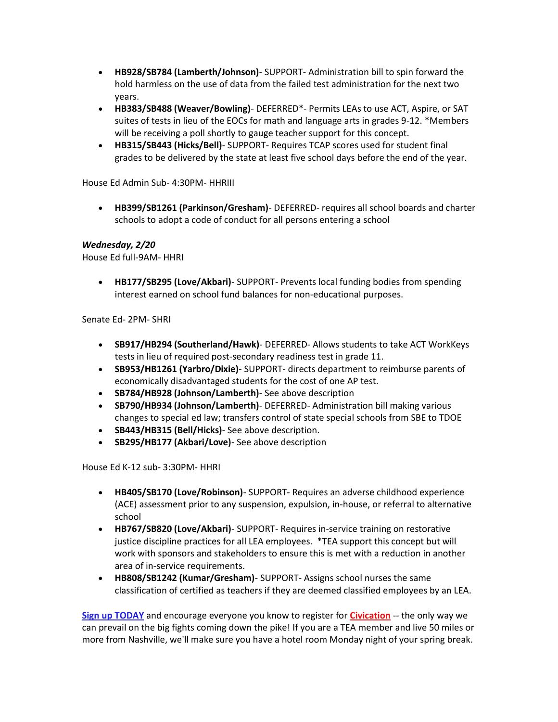- **HB928/SB784 (Lamberth/Johnson)** SUPPORT- Administration bill to spin forward the hold harmless on the use of data from the failed test administration for the next two years.
- **HB383/SB488 (Weaver/Bowling)** DEFERRED\*- Permits LEAs to use ACT, Aspire, or SAT suites of tests in lieu of the EOCs for math and language arts in grades 9-12. \*Members will be receiving a poll shortly to gauge teacher support for this concept.
- **HB315/SB443 (Hicks/Bell)** SUPPORT- Requires TCAP scores used for student final grades to be delivered by the state at least five school days before the end of the year.

House Ed Admin Sub- 4:30PM- HHRIII

• **HB399/SB1261 (Parkinson/Gresham)**- DEFERRED- requires all school boards and charter schools to adopt a code of conduct for all persons entering a school

## *Wednesday, 2/20*

House Ed full-9AM- HHRI

• **HB177/SB295 (Love/Akbari)**- SUPPORT- Prevents local funding bodies from spending interest earned on school fund balances for non-educational purposes.

Senate Ed- 2PM- SHRI

- **SB917/HB294 (Southerland/Hawk)** DEFERRED- Allows students to take ACT WorkKeys tests in lieu of required post-secondary readiness test in grade 11.
- **SB953/HB1261 (Yarbro/Dixie)** SUPPORT- directs department to reimburse parents of economically disadvantaged students for the cost of one AP test.
- **SB784/HB928 (Johnson/Lamberth)** See above description
- **SB790/HB934 (Johnson/Lamberth)** DEFERRED- Administration bill making various changes to special ed law; transfers control of state special schools from SBE to TDOE
- **SB443/HB315 (Bell/Hicks)** See above description.
- **SB295/HB177 (Akbari/Love)** See above description

House Ed K-12 sub- 3:30PM- HHRI

- **HB405/SB170 (Love/Robinson)** SUPPORT- Requires an adverse childhood experience (ACE) assessment prior to any suspension, expulsion, in-house, or referral to alternative school
- **HB767/SB820 (Love/Akbari)** SUPPORT- Requires in-service training on restorative justice discipline practices for all LEA employees. \*TEA support this concept but will work with sponsors and stakeholders to ensure this is met with a reduction in another area of in-service requirements.
- **HB808/SB1242 (Kumar/Gresham)** SUPPORT- Assigns school nurses the same classification of certified as teachers if they are deemed classified employees by an LEA.

**[Sign up TODAY](http://teateachers.org/Civication)** and encourage everyone you know to register for **[Civication](http://www.teateachers.org/event/civication)** -- the only way we can prevail on the big fights coming down the pike! If you are a TEA member and live 50 miles or more from Nashville, we'll make sure you have a hotel room Monday night of your spring break.